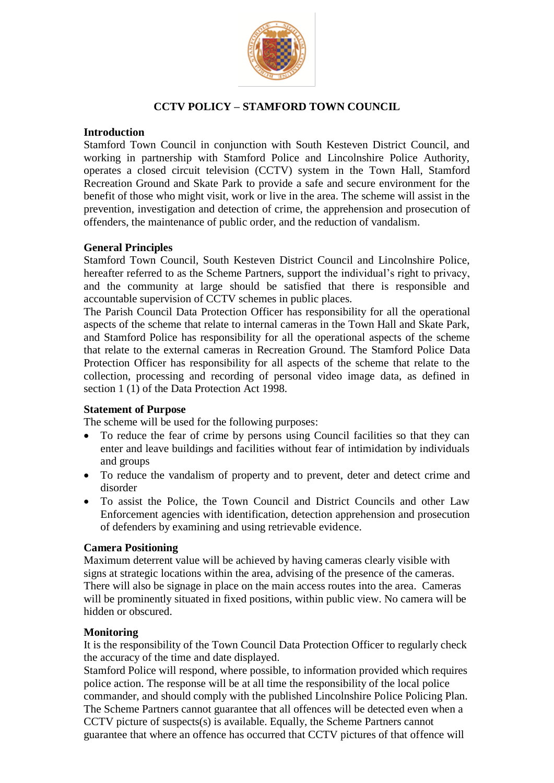

# **CCTV POLICY – STAMFORD TOWN COUNCIL**

## **Introduction**

Stamford Town Council in conjunction with South Kesteven District Council, and working in partnership with Stamford Police and Lincolnshire Police Authority, operates a closed circuit television (CCTV) system in the Town Hall, Stamford Recreation Ground and Skate Park to provide a safe and secure environment for the benefit of those who might visit, work or live in the area. The scheme will assist in the prevention, investigation and detection of crime, the apprehension and prosecution of offenders, the maintenance of public order, and the reduction of vandalism.

## **General Principles**

Stamford Town Council, South Kesteven District Council and Lincolnshire Police, hereafter referred to as the Scheme Partners, support the individual's right to privacy, and the community at large should be satisfied that there is responsible and accountable supervision of CCTV schemes in public places.

The Parish Council Data Protection Officer has responsibility for all the operational aspects of the scheme that relate to internal cameras in the Town Hall and Skate Park, and Stamford Police has responsibility for all the operational aspects of the scheme that relate to the external cameras in Recreation Ground. The Stamford Police Data Protection Officer has responsibility for all aspects of the scheme that relate to the collection, processing and recording of personal video image data, as defined in section 1 (1) of the Data Protection Act 1998.

#### **Statement of Purpose**

The scheme will be used for the following purposes:

- To reduce the fear of crime by persons using Council facilities so that they can enter and leave buildings and facilities without fear of intimidation by individuals and groups
- To reduce the vandalism of property and to prevent, deter and detect crime and disorder
- To assist the Police, the Town Council and District Councils and other Law Enforcement agencies with identification, detection apprehension and prosecution of defenders by examining and using retrievable evidence.

#### **Camera Positioning**

Maximum deterrent value will be achieved by having cameras clearly visible with signs at strategic locations within the area, advising of the presence of the cameras. There will also be signage in place on the main access routes into the area. Cameras will be prominently situated in fixed positions, within public view. No camera will be hidden or obscured.

#### **Monitoring**

It is the responsibility of the Town Council Data Protection Officer to regularly check the accuracy of the time and date displayed.

Stamford Police will respond, where possible, to information provided which requires police action. The response will be at all time the responsibility of the local police commander, and should comply with the published Lincolnshire Police Policing Plan. The Scheme Partners cannot guarantee that all offences will be detected even when a CCTV picture of suspects(s) is available. Equally, the Scheme Partners cannot guarantee that where an offence has occurred that CCTV pictures of that offence will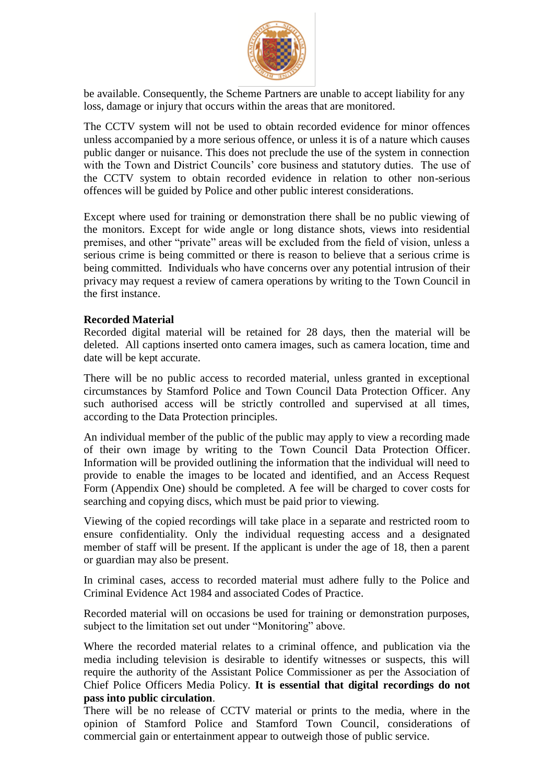

be available. Consequently, the Scheme Partners are unable to accept liability for any loss, damage or injury that occurs within the areas that are monitored.

The CCTV system will not be used to obtain recorded evidence for minor offences unless accompanied by a more serious offence, or unless it is of a nature which causes public danger or nuisance. This does not preclude the use of the system in connection with the Town and District Councils' core business and statutory duties. The use of the CCTV system to obtain recorded evidence in relation to other non-serious offences will be guided by Police and other public interest considerations.

Except where used for training or demonstration there shall be no public viewing of the monitors. Except for wide angle or long distance shots, views into residential premises, and other "private" areas will be excluded from the field of vision, unless a serious crime is being committed or there is reason to believe that a serious crime is being committed. Individuals who have concerns over any potential intrusion of their privacy may request a review of camera operations by writing to the Town Council in the first instance.

#### **Recorded Material**

Recorded digital material will be retained for 28 days, then the material will be deleted. All captions inserted onto camera images, such as camera location, time and date will be kept accurate.

There will be no public access to recorded material, unless granted in exceptional circumstances by Stamford Police and Town Council Data Protection Officer. Any such authorised access will be strictly controlled and supervised at all times, according to the Data Protection principles.

An individual member of the public of the public may apply to view a recording made of their own image by writing to the Town Council Data Protection Officer. Information will be provided outlining the information that the individual will need to provide to enable the images to be located and identified, and an Access Request Form (Appendix One) should be completed. A fee will be charged to cover costs for searching and copying discs, which must be paid prior to viewing.

Viewing of the copied recordings will take place in a separate and restricted room to ensure confidentiality. Only the individual requesting access and a designated member of staff will be present. If the applicant is under the age of 18, then a parent or guardian may also be present.

In criminal cases, access to recorded material must adhere fully to the Police and Criminal Evidence Act 1984 and associated Codes of Practice.

Recorded material will on occasions be used for training or demonstration purposes, subject to the limitation set out under "Monitoring" above.

Where the recorded material relates to a criminal offence, and publication via the media including television is desirable to identify witnesses or suspects, this will require the authority of the Assistant Police Commissioner as per the Association of Chief Police Officers Media Policy. **It is essential that digital recordings do not pass into public circulation**.

There will be no release of CCTV material or prints to the media, where in the opinion of Stamford Police and Stamford Town Council, considerations of commercial gain or entertainment appear to outweigh those of public service.